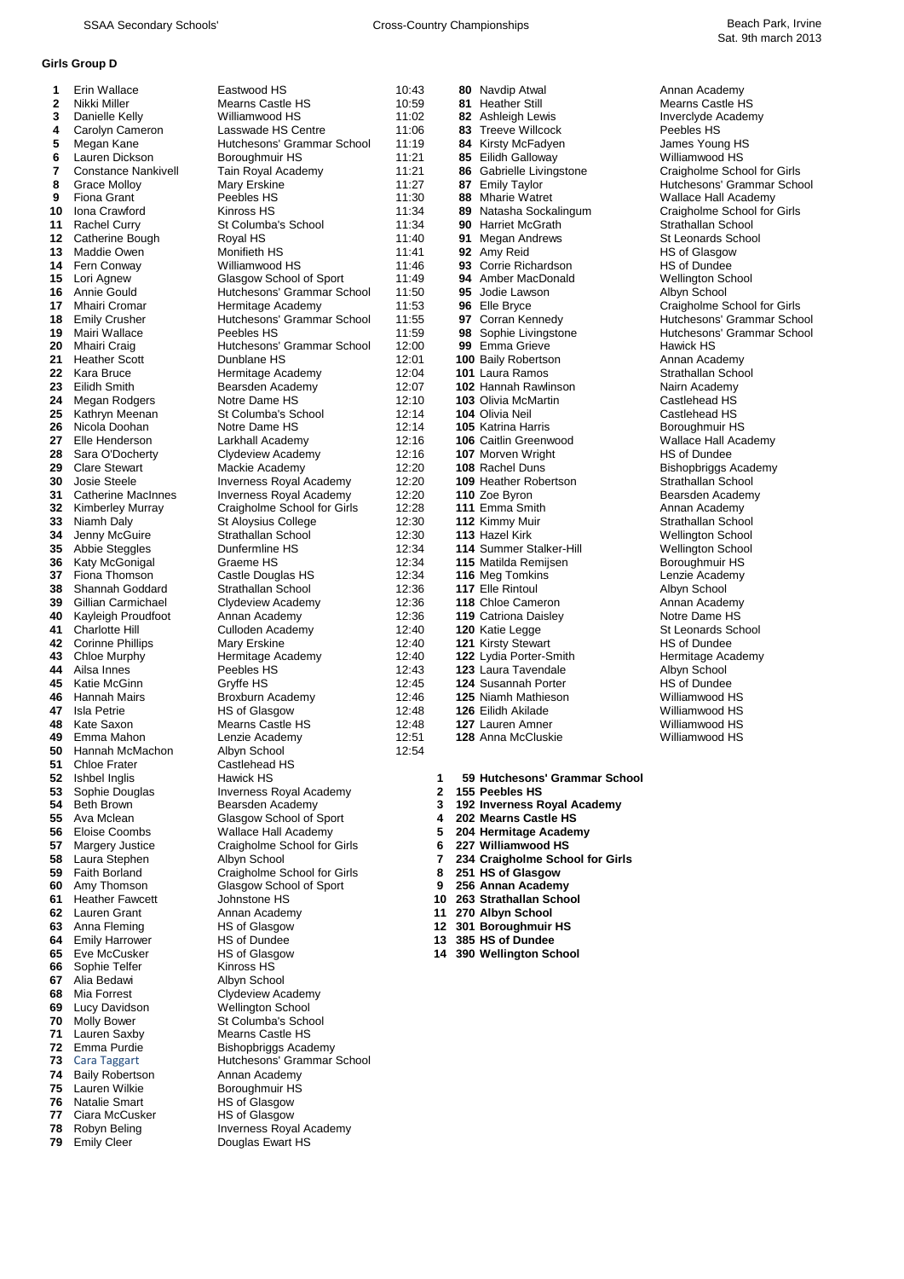### **Girls Group D**

| 1            | Erin Wallace               | Eastwood HS                    | 10:43 |              | 80 Navdip Atwal                 | Annan Academy               |
|--------------|----------------------------|--------------------------------|-------|--------------|---------------------------------|-----------------------------|
| $\mathbf{2}$ | Nikki Miller               | Mearns Castle HS               | 10:59 |              | 81 Heather Still                | <b>Mearns Castle HS</b>     |
| 3            | Danielle Kelly             | Williamwood HS                 | 11:02 |              | 82 Ashleigh Lewis               | Inverclyde Academy          |
| 4            | Carolyn Cameron            | Lasswade HS Centre             | 11:06 |              | 83 Treeve Willcock              | Peebles HS                  |
| 5            | Megan Kane                 | Hutchesons' Grammar School     | 11:19 |              | 84 Kirsty McFadyen              | James Young HS              |
| 6            | Lauren Dickson             | Boroughmuir HS                 | 11:21 |              | 85 Eilidh Galloway              | Williamwood HS              |
| 7            | <b>Constance Nankivell</b> | Tain Royal Academy             | 11:21 |              | 86 Gabrielle Livingstone        | Craigholme School for Girls |
| 8            | <b>Grace Molloy</b>        | Mary Erskine                   | 11:27 |              | 87 Emily Taylor                 | Hutchesons' Grammar School  |
| 9            | <b>Fiona Grant</b>         | Peebles HS                     | 11:30 |              | 88 Mharie Watret                | Wallace Hall Academy        |
| 10           | Iona Crawford              | Kinross HS                     | 11:34 |              | 89 Natasha Sockalingum          | Craigholme School for Girls |
| 11           | <b>Rachel Curry</b>        | St Columba's School            | 11:34 |              | <b>90 Harriet McGrath</b>       | Strathallan School          |
| 12           | Catherine Bough            | Royal HS                       | 11:40 |              | 91 Megan Andrews                | <b>St Leonards School</b>   |
| 13           | Maddie Owen                | Monifieth HS                   | 11:41 |              | 92 Amy Reid                     | HS of Glasgow               |
| 14           | Fern Conway                | Williamwood HS                 | 11:46 |              | 93 Corrie Richardson            | HS of Dundee                |
| 15           | Lori Agnew                 | Glasgow School of Sport        | 11:49 |              | 94 Amber MacDonald              | <b>Wellington School</b>    |
| 16           | Annie Gould                | Hutchesons' Grammar School     | 11:50 |              | 95 Jodie Lawson                 | Albyn School                |
| 17           | Mhairi Cromar              | Hermitage Academy              | 11:53 |              | 96 Elle Bryce                   | Craigholme School for Girls |
| 18           | <b>Emily Crusher</b>       | Hutchesons' Grammar School     | 11:55 |              | 97 Corran Kennedy               | Hutchesons' Grammar School  |
| 19           | Mairi Wallace              | Peebles HS                     | 11:59 |              | 98 Sophie Livingstone           | Hutchesons' Grammar School  |
| 20           | Mhairi Craig               | Hutchesons' Grammar School     | 12:00 |              | 99 Emma Grieve                  | Hawick HS                   |
| 21           | <b>Heather Scott</b>       | Dunblane HS                    | 12:01 |              | 100 Baily Robertson             | Annan Academy               |
| 22           | Kara Bruce                 | Hermitage Academy              | 12:04 |              | 101 Laura Ramos                 | Strathallan School          |
| 23           | Eilidh Smith               | Bearsden Academy               | 12:07 |              | 102 Hannah Rawlinson            | Nairn Academy               |
| 24           | Megan Rodgers              | Notre Dame HS                  | 12:10 |              | <b>103 Olivia McMartin</b>      | Castlehead HS               |
| 25           | Kathryn Meenan             | St Columba's School            | 12:14 |              | 104 Olivia Neil                 | Castlehead HS               |
| 26           | Nicola Doohan              | Notre Dame HS                  | 12:14 |              | 105 Katrina Harris              | Boroughmuir HS              |
| 27           | Elle Henderson             | Larkhall Academy               | 12:16 |              | 106 Caitlin Greenwood           | Wallace Hall Academy        |
| 28           | Sara O'Docherty            | Clydeview Academy              | 12:16 |              | 107 Morven Wright               | <b>HS of Dundee</b>         |
| 29           | <b>Clare Stewart</b>       | Mackie Academy                 | 12:20 |              | 108 Rachel Duns                 | Bishopbriggs Academy        |
| 30           | <b>Josie Steele</b>        | <b>Inverness Royal Academy</b> | 12:20 |              | 109 Heather Robertson           | Strathallan School          |
| 31           | <b>Catherine MacInnes</b>  | <b>Inverness Royal Academy</b> | 12:20 |              | 110 Zoe Byron                   | Bearsden Academy            |
| 32           | <b>Kimberley Murray</b>    | Craigholme School for Girls    | 12:28 |              | 111 Emma Smith                  | Annan Academy               |
| 33           | Niamh Daly                 | <b>St Aloysius College</b>     | 12:30 |              | 112 Kimmy Muir                  | Strathallan School          |
| 34           | Jenny McGuire              | Strathallan School             | 12:30 |              | 113 Hazel Kirk                  | <b>Wellington School</b>    |
| 35           | Abbie Steggles             | Dunfermline HS                 | 12:34 |              | <b>114 Summer Stalker-Hill</b>  | <b>Wellington School</b>    |
| 36           | Katy McGonigal             | Graeme HS                      | 12:34 |              | 115 Matilda Remijsen            | Boroughmuir HS              |
| 37           | Fiona Thomson              | Castle Douglas HS              | 12:34 |              | 116 Meg Tomkins                 | Lenzie Academy              |
| 38           | Shannah Goddard            | Strathallan School             | 12:36 |              | 117 Elle Rintoul                | Albyn School                |
| 39           | Gillian Carmichael         | Clydeview Academy              | 12:36 |              | 118 Chloe Cameron               | Annan Academy               |
| 40           | Kayleigh Proudfoot         | Annan Academy                  | 12:36 |              | 119 Catriona Daisley            | Notre Dame HS               |
| 41           | <b>Charlotte Hill</b>      | Culloden Academy               | 12:40 |              | 120 Katie Legge                 | <b>St Leonards School</b>   |
| 42           | <b>Corinne Phillips</b>    | Mary Erskine                   | 12:40 |              | <b>121 Kirsty Stewart</b>       | <b>HS of Dundee</b>         |
| 43           | Chloe Murphy               | Hermitage Academy              | 12:40 |              | 122 Lydia Porter-Smith          | Hermitage Academy           |
| 44           | Ailsa Innes                | Peebles HS                     | 12:43 |              | 123 Laura Tavendale             | Albyn School                |
| 45           | Katie McGinn               | Gryffe HS                      | 12:45 |              | 124 Susannah Porter             | <b>HS of Dundee</b>         |
| 46           | Hannah Mairs               | Broxburn Academy               | 12:46 |              | <b>125 Niamh Mathieson</b>      | Williamwood HS              |
| 47           | <b>Isla Petrie</b>         | <b>HS of Glasgow</b>           | 12:48 |              | 126 Eilidh Akilade              | Williamwood HS              |
| 48           | Kate Saxon                 | Mearns Castle HS               | 12:48 |              | 127 Lauren Amner                | Williamwood HS              |
| 49           | Emma Mahon                 | Lenzie Academy                 | 12:51 |              | <b>128 Anna McCluskie</b>       | Williamwood HS              |
| 50           | Hannah McMachon            | Albyn School                   | 12:54 |              |                                 |                             |
| 51           | <b>Chloe Frater</b>        | Castlehead HS                  |       |              |                                 |                             |
| 52           | Ishbel Inglis              | Hawick HS                      |       | 1            | 59 Hutchesons' Grammar School   |                             |
| 53           | Sophie Douglas             | Inverness Royal Academy        |       | $\mathbf{2}$ | 155 Peebles HS                  |                             |
| 54           | <b>Beth Brown</b>          | Bearsden Academy               |       | 3            | 192 Inverness Royal Academy     |                             |
| 55           | Ava Mclean                 | Glasgow School of Sport        |       | 4            | 202 Mearns Castle HS            |                             |
| 56           | Eloise Coombs              | Wallace Hall Academy           |       | 5            | 204 Hermitage Academy           |                             |
| 57           | Margery Justice            | Craigholme School for Girls    |       | 6            | 227 Williamwood HS              |                             |
| 58           | Laura Stephen              | Albyn School                   |       | 7            | 234 Craigholme School for Girls |                             |
| 59           | Faith Borland              | Craigholme School for Girls    |       | 8            | 251 HS of Glasgow               |                             |
| 60           | Amy Thomson                | Glasgow School of Sport        |       | 9            | 256 Annan Academy               |                             |
| 61           | <b>Heather Fawcett</b>     | Johnstone HS                   |       | 10           | 263 Strathallan School          |                             |
| 62           | Lauren Grant               | Annan Academy                  |       | 11           | 270 Albyn School                |                             |
| 63           | Anna Fleming               | HS of Glasgow                  |       | 12           | 301 Boroughmuir HS              |                             |
| 64           | <b>Emily Harrower</b>      | HS of Dundee                   |       | 13           | 385 HS of Dundee                |                             |
|              | 65 Eve McCusker            | HS of Glasgow                  |       |              | 14 390 Wellington School        |                             |
| 66           | Sophie Telfer              | Kinross HS                     |       |              |                                 |                             |
| 67           | Alia Bedawi                | Albyn School                   |       |              |                                 |                             |
| 68           | Mia Forrest                | Clydeview Academy              |       |              |                                 |                             |
| 69           | Lucy Davidson              | <b>Wellington School</b>       |       |              |                                 |                             |
| 70           | <b>Molly Bower</b>         | St Columba's School            |       |              |                                 |                             |
| 71           | Lauren Saxby               | <b>Mearns Castle HS</b>        |       |              |                                 |                             |
| 72           | Emma Purdie                | Bishopbriggs Academy           |       |              |                                 |                             |
| 73           | Cara Taggart               | Hutchesons' Grammar School     |       |              |                                 |                             |
| 74           | <b>Baily Robertson</b>     | Annan Academy                  |       |              |                                 |                             |
| 75           | Lauren Wilkie              | Boroughmuir HS                 |       |              |                                 |                             |
| 76           | <b>Natalie Smart</b>       | HS of Glasgow                  |       |              |                                 |                             |
| 77           | Ciara McCusker             | HS of Glasgow                  |       |              |                                 |                             |
| 78           | Robyn Beling               | Inverness Royal Academy        |       |              |                                 |                             |
| 79           | <b>Emily Cleer</b>         | Douglas Ewart HS               |       |              |                                 |                             |
|              |                            |                                |       |              |                                 |                             |

| HS<br>astle HS                 | 10:43<br>10:59 |
|--------------------------------|----------------|
| od HS                          | 11:02          |
| <b>HS Centre</b>               | 11:06          |
| ns' Grammar School             | 11:19          |
| uir HS<br>ıl Academy           | 11:21<br>11:21 |
| ine                            | 11:27          |
| ١S                             | 11:30          |
| S                              | 11:34          |
| วa's School                    | 11:34          |
|                                | 11:40          |
| НS<br>od HS                    | 11:41<br>11:46 |
| School of Sport                | 11:49          |
| ns' Grammar School             | 11:50          |
| e Academy                      | 11:53          |
| ns' Grammar School             | 11:55          |
| ١S<br>ns' Grammar School       | 11:59<br>12:00 |
| HS                             | 12:01          |
| <b>Academy</b>                 | 12:04          |
| Academy                        | 12:07          |
| ne HS                          | 12:10          |
| วa's School                    | 12:14          |
| ne HS                          | 12:14<br>12:16 |
| cademy.<br>/ Academy           | 12:16          |
| cademy                         | 12:20          |
|                                | 12:20          |
| Royal Academy<br>Royal Academy | 12:20          |
| e School for Girls             | 12:28          |
| is College<br>n School         | 12:30<br>12:30 |
| ne HS                          | 12:34          |
| ١S                             | 12:34          |
| uglas HS                       | 12:34          |
| n School                       | 12:36          |
| Academy                        | 12:36          |
| ademy<br>Academy               | 12:36<br>12:40 |
| ine:                           | 12:40          |
| e Academy                      | 12:40          |
| ١S                             | 12:43          |
|                                | 12:45<br>12:46 |
| Academy<br>sgow                | 12:48          |
| astle HS                       | 12:48          |
| ademy                          | 12:51          |
| lool                           | 12:54          |
| ıd HS<br>S                     |                |
| Royal Academy                  |                |
| Academy                        |                |
| School of Sport                |                |
| lall Academy                   |                |
| ıe School for Girls            |                |
| lool<br>ıe School for Girls    |                |
| School of Sport                |                |
| e HS                           |                |
| ademy                          |                |
| sgow                           |                |
| าdee<br>sgow                   |                |
| S                              |                |
| lool                           |                |
| / Academy                      |                |
| า School                       |                |
| วa's School<br>astle HS        |                |
| ggs Academy                    |                |
| ns' Grammar School             |                |

| 80  | Navdip Atwal                  |
|-----|-------------------------------|
| 81  | <b>Heather Still</b>          |
| 82  | Ashleigh Lewis                |
| 83  | <b>Treeve Willcock</b>        |
| 84  | Kirsty McFadyen               |
| 85  | Eilidh Galloway               |
| 86  | Gabrielle Livingstone         |
| 87  | <b>Emily Taylor</b>           |
| 88  | <b>Mharie Watret</b>          |
| 89  | Natasha Sockalingum           |
| 90  | <b>Harriet McGrath</b>        |
| 91  | Megan Andrews                 |
| 92  | Amy Reid                      |
| 93  | Corrie Richardson             |
| 94  | Amber MacDonald               |
| 95  | Jodie Lawson                  |
| 96  | Elle Bryce                    |
| 97  | Corran Kennedy                |
| 98  | Sophie Livingstone            |
| 99  | Emma Grieve                   |
| 100 | <b>Baily Robertson</b>        |
| 101 | Laura Ramos                   |
| 102 | <b>Hannah Rawlinson</b>       |
|     | 103 Olivia McMartin           |
|     | 104 Olivia Neil               |
|     | 105 Katrina Harris            |
|     | 106 Caitlin Greenwood         |
|     | 107 Morven Wright             |
|     | 108 Rachel Duns               |
|     | 109 Heather Robertson         |
| 110 | Zoe Byron                     |
|     | 111 Emma Smith                |
|     | 112 Kimmy Muir                |
|     | 113 Hazel Kirk                |
| 114 | Summer Stalker-Hill           |
|     | 115 Matilda Remijsen          |
| 116 | Meg Tomkins                   |
| 117 | <b>Elle Rintoul</b>           |
| 118 | <b>Chloe Cameron</b>          |
| 119 | Catriona Daisley              |
| 120 | Katie Legge<br>Kirsty Stewart |
| 121 |                               |
|     | 122 Lydia Porter-Smith        |
|     | 123 Laura Tavendale           |
|     | 124 Susannah Porter           |
|     | 125 Niamh Mathieson           |
|     | 126 Eilidh Akilade            |
|     | 127 Lauren Amner              |
| 128 | Anna McCluskie                |
|     |                               |
|     | 59 Hutchesons' Gramma         |
|     | 155 Peebles HS                |
|     |                               |

- 
- 
- 
- 
- 
- 
- 
- 
- 
- 
- 
- 
- 
-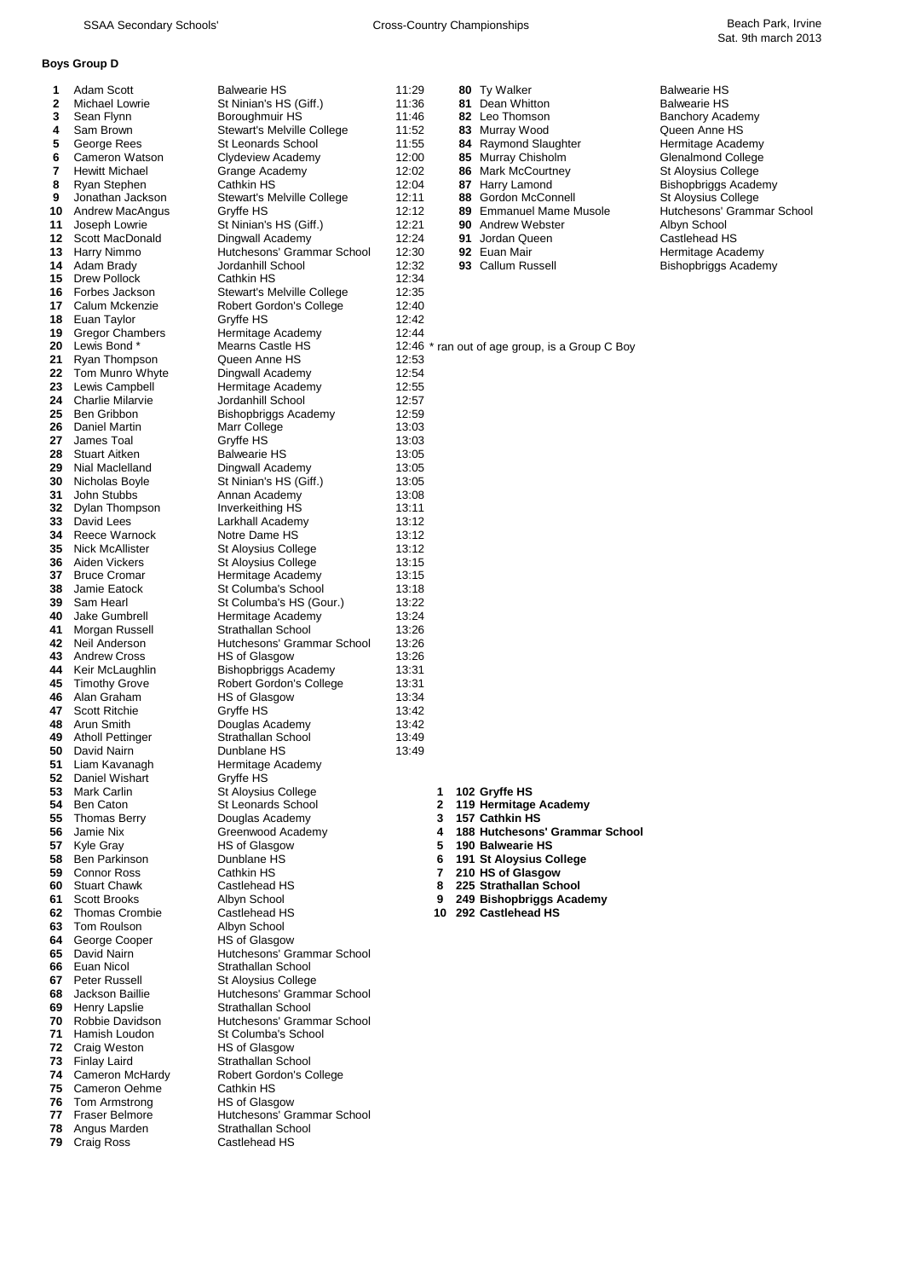### **Boys Group D**

| 1  | Adam Scott              | <b>Balwearie HS</b>                   | 11:29 |    | 80 Ty Walker                                   | <b>Balwearie HS</b>        |
|----|-------------------------|---------------------------------------|-------|----|------------------------------------------------|----------------------------|
| 2  | Michael Lowrie          | St Ninian's HS (Giff.)                | 11:36 |    | 81 Dean Whitton                                | <b>Balwearie HS</b>        |
| 3  | Sean Flynn              | Boroughmuir HS                        | 11:46 |    | 82 Leo Thomson                                 | <b>Banchory Academy</b>    |
| 4  | Sam Brown               | Stewart's Melville College            | 11:52 |    | 83 Murray Wood                                 | Queen Anne HS              |
| 5  | George Rees             | St Leonards School                    | 11:55 |    | 84 Raymond Slaughter                           | Hermitage Academy          |
| 6  | Cameron Watson          | Clydeview Academy                     | 12:00 |    | 85 Murray Chisholm                             | Glenalmond College         |
| 7  | <b>Hewitt Michael</b>   | Grange Academy                        | 12:02 |    | 86 Mark McCourtney                             | St Aloysius College        |
| 8  | Ryan Stephen            | Cathkin HS                            | 12:04 |    | 87 Harry Lamond                                | Bishopbriggs Academy       |
| 9  | Jonathan Jackson        | Stewart's Melville College            | 12:11 |    | Gordon McConnell<br>88                         | <b>St Aloysius College</b> |
| 10 | Andrew MacAngus         | Gryffe HS                             | 12:12 |    | 89 Emmanuel Mame Musole                        | Hutchesons' Grammar Schoo  |
| 11 | Joseph Lowrie           | St Ninian's HS (Giff.)                | 12:21 |    | <b>90</b> Andrew Webster                       | Albyn School               |
| 12 | Scott MacDonald         | Dingwall Academy                      | 12:24 |    | 91<br>Jordan Queen                             | Castlehead HS              |
| 13 | Harry Nimmo             | Hutchesons' Grammar School            | 12:30 |    | 92 Euan Mair                                   | Hermitage Academy          |
| 14 | Adam Brady              | Jordanhill School                     | 12:32 |    | 93 Callum Russell                              | Bishopbriggs Academy       |
| 15 | Drew Pollock            | Cathkin HS                            | 12:34 |    |                                                |                            |
|    | Forbes Jackson          |                                       |       |    |                                                |                            |
| 16 |                         | Stewart's Melville College            | 12:35 |    |                                                |                            |
| 17 | Calum Mckenzie          | Robert Gordon's College               | 12:40 |    |                                                |                            |
| 18 | Euan Taylor             | Gryffe HS                             | 12:42 |    |                                                |                            |
| 19 | <b>Gregor Chambers</b>  | Hermitage Academy                     | 12:44 |    |                                                |                            |
| 20 | Lewis Bond *            | Mearns Castle HS                      |       |    | 12:46 * ran out of age group, is a Group C Boy |                            |
| 21 | Ryan Thompson           | Queen Anne HS                         | 12:53 |    |                                                |                            |
| 22 | Tom Munro Whyte         | Dingwall Academy                      | 12:54 |    |                                                |                            |
| 23 | Lewis Campbell          | Hermitage Academy                     | 12:55 |    |                                                |                            |
| 24 | <b>Charlie Milarvie</b> | Jordanhill School                     | 12:57 |    |                                                |                            |
| 25 | Ben Gribbon             | <b>Bishopbriggs Academy</b>           | 12:59 |    |                                                |                            |
| 26 | Daniel Martin           | Marr College                          | 13:03 |    |                                                |                            |
| 27 | James Toal              | Gryffe HS                             | 13:03 |    |                                                |                            |
| 28 | <b>Stuart Aitken</b>    | <b>Balwearie HS</b>                   | 13:05 |    |                                                |                            |
| 29 | Nial Maclelland         | Dingwall Academy                      | 13:05 |    |                                                |                            |
| 30 | Nicholas Boyle          | St Ninian's HS (Giff.)                | 13:05 |    |                                                |                            |
| 31 | John Stubbs             | Annan Academy                         | 13:08 |    |                                                |                            |
| 32 | Dylan Thompson          | Inverkeithing HS                      | 13:11 |    |                                                |                            |
| 33 | David Lees              | Larkhall Academy                      | 13:12 |    |                                                |                            |
| 34 | Reece Warnock           | Notre Dame HS                         | 13:12 |    |                                                |                            |
| 35 | <b>Nick McAllister</b>  | St Aloysius College                   | 13:12 |    |                                                |                            |
| 36 | Aiden Vickers           | St Aloysius College                   | 13:15 |    |                                                |                            |
| 37 | <b>Bruce Cromar</b>     | Hermitage Academy                     | 13:15 |    |                                                |                            |
| 38 | Jamie Eatock            | St Columba's School                   | 13:18 |    |                                                |                            |
| 39 | Sam Hearl               | St Columba's HS (Gour.)               | 13:22 |    |                                                |                            |
| 40 | Jake Gumbrell           | Hermitage Academy                     | 13:24 |    |                                                |                            |
| 41 | Morgan Russell          | Strathallan School                    | 13:26 |    |                                                |                            |
| 42 | Neil Anderson           | Hutchesons' Grammar School            | 13:26 |    |                                                |                            |
| 43 | <b>Andrew Cross</b>     | HS of Glasgow                         | 13:26 |    |                                                |                            |
| 44 | Keir McLaughlin         | <b>Bishopbriggs Academy</b>           | 13:31 |    |                                                |                            |
| 45 | <b>Timothy Grove</b>    | Robert Gordon's College               | 13:31 |    |                                                |                            |
| 46 | Alan Graham             | HS of Glasgow                         | 13:34 |    |                                                |                            |
| 47 | <b>Scott Ritchie</b>    | Gryffe HS                             | 13:42 |    |                                                |                            |
| 48 | Arun Smith              |                                       | 13:42 |    |                                                |                            |
| 49 | <b>Atholl Pettinger</b> | Douglas Academy<br>Strathallan School | 13:49 |    |                                                |                            |
| 50 | David Nairn             | Dunblane HS                           | 13:49 |    |                                                |                            |
|    |                         |                                       |       |    |                                                |                            |
| 51 | Liam Kavanagh           | Hermitage Academy                     |       |    |                                                |                            |
| 52 | Daniel Wishart          | Gryffe HS                             |       |    |                                                |                            |
|    | 53 Mark Carlin          | <b>St Aloysius College</b>            |       | 1  | 102 Gryffe HS                                  |                            |
|    | 54 Ben Caton            | St Leonards School                    |       | 2  | 119 Hermitage Academy                          |                            |
| 55 | Thomas Berry            | Douglas Academy                       |       | 3  | 157 Cathkin HS                                 |                            |
| 56 | Jamie Nix               | Greenwood Academy                     |       | 4  | 188 Hutchesons' Grammar School                 |                            |
| 57 | Kyle Gray               | HS of Glasgow                         |       | 5  | 190 Balwearie HS                               |                            |
| 58 | Ben Parkinson           | Dunblane HS                           |       | 6  | 191 St Aloysius College                        |                            |
| 59 | <b>Connor Ross</b>      | Cathkin HS                            |       | 7  | 210 HS of Glasgow                              |                            |
| 60 | <b>Stuart Chawk</b>     | Castlehead HS                         |       | 8  | 225 Strathallan School                         |                            |
| 61 | Scott Brooks            | Albyn School                          |       | 9  | 249 Bishopbriggs Academy                       |                            |
| 62 | Thomas Crombie          | Castlehead HS                         |       | 10 | 292 Castlehead HS                              |                            |
| 63 | Tom Roulson             | Albyn School                          |       |    |                                                |                            |
| 64 | George Cooper           | HS of Glasgow                         |       |    |                                                |                            |
| 65 | David Nairn             | Hutchesons' Grammar School            |       |    |                                                |                            |
| 66 | Euan Nicol              | Strathallan School                    |       |    |                                                |                            |
|    | 67 Peter Russell        | St Aloysius College                   |       |    |                                                |                            |
| 68 | Jackson Baillie         | Hutchesons' Grammar School            |       |    |                                                |                            |
| 69 | Henry Lapslie           | Strathallan School                    |       |    |                                                |                            |
| 70 | Robbie Davidson         | Hutchesons' Grammar School            |       |    |                                                |                            |
| 71 | Hamish Loudon           | St Columba's School                   |       |    |                                                |                            |
| 72 | Craig Weston            | HS of Glasgow                         |       |    |                                                |                            |
|    | 73 Finlay Laird         | Strathallan School                    |       |    |                                                |                            |
| 74 | Cameron McHardy         | <b>Robert Gordon's College</b>        |       |    |                                                |                            |
| 75 | Cameron Oehme           | Cathkin HS                            |       |    |                                                |                            |
| 76 | Tom Armstrong           | <b>HS of Glasgow</b>                  |       |    |                                                |                            |
| 77 | <b>Fraser Belmore</b>   | Hutchesons' Grammar School            |       |    |                                                |                            |
| 78 | Angus Marden            | Strathallan School                    |       |    |                                                |                            |
|    | 79 Craig Ross           | Castlehead HS                         |       |    |                                                |                            |
|    |                         |                                       |       |    |                                                |                            |

| <b>Balwearie HS</b>         |
|-----------------------------|
| <b>Balwearie HS</b>         |
| <b>Banchory Academy</b>     |
| Queen Anne HS               |
| Hermitage Academy           |
| <b>Glenalmond College</b>   |
| <b>St Aloysius College</b>  |
| <b>Bishopbriggs Academy</b> |
| <b>St Aloysius College</b>  |
| Hutchesons' Grammar Sch     |
| Albyn School                |
| Castlehead HS               |
| Hermitage Academy           |
| Richaphriage Academy        |

- 
- 
- Ben Caton St Leonards School **2 119 Hermitage Academy**
- Butches Netwood **Academy Control**
- 
- Ben Parkinson Dunblane HS **6 191 St Aloysius College**
- 
- Stuart Chawk Castlehead HS **8 225 Strathallan School**
- Scott Brooks Albyn School **9 249 Bishopbriggs Academy**
-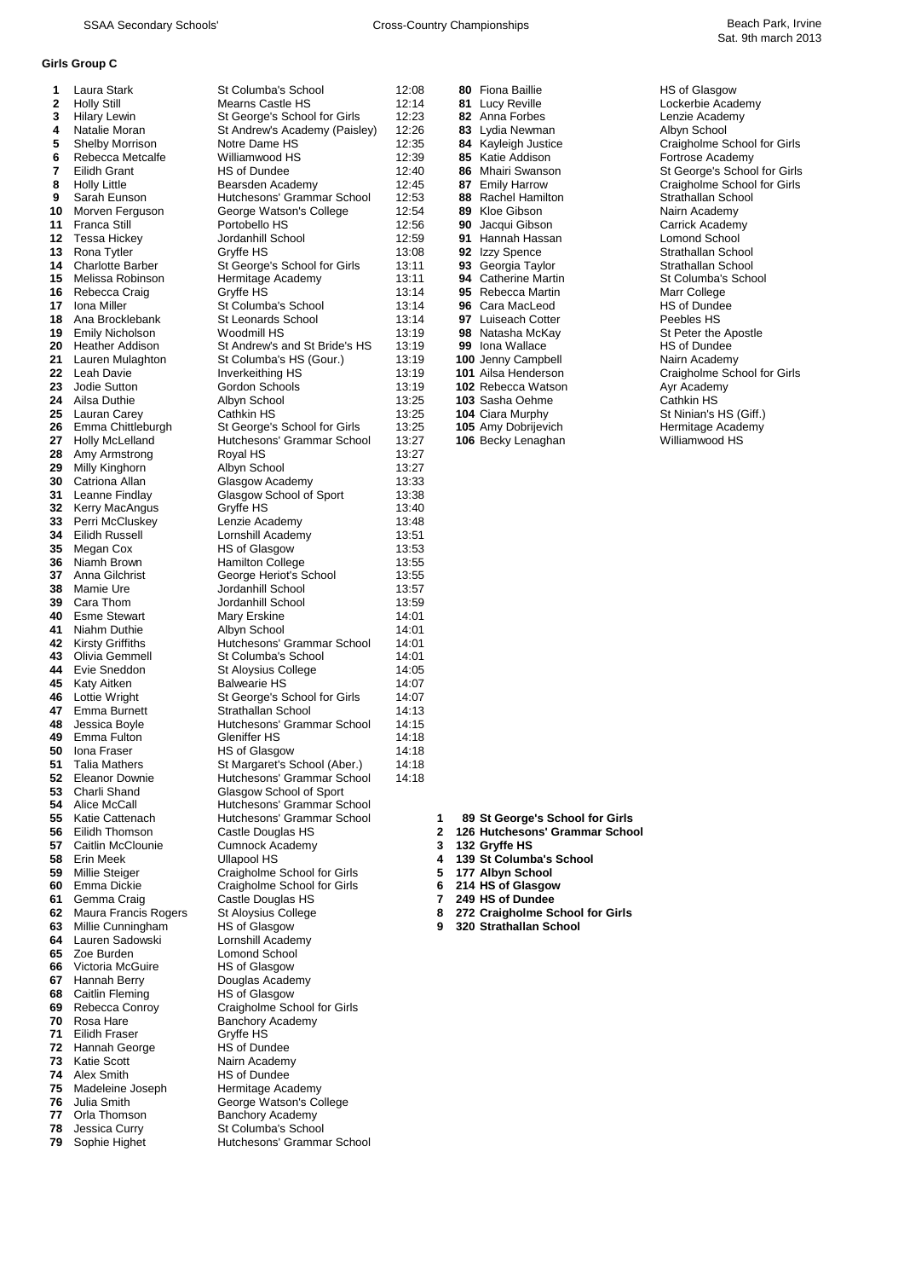# **Girls Group C**

| 1        | Laura Stark                             | St Columba's School                                   | 12:08          |        |    | 80 Fiona Baillie                                    | HS of Glasgow                               |
|----------|-----------------------------------------|-------------------------------------------------------|----------------|--------|----|-----------------------------------------------------|---------------------------------------------|
| 2        | <b>Holly Still</b>                      | Mearns Castle HS                                      | 12:14          |        |    | 81 Lucy Reville                                     | Lockerbie Academy                           |
| 3        | <b>Hilary Lewin</b>                     | St George's School for Girls                          | 12:23          |        |    | 82 Anna Forbes                                      | Lenzie Academy                              |
| 4<br>5   | Natalie Moran<br><b>Shelby Morrison</b> | St Andrew's Academy (Paisley)<br>Notre Dame HS        | 12:26<br>12:35 |        | 83 | Lydia Newman                                        | Albyn School<br>Craigholme School for Girls |
| 6        | Rebecca Metcalfe                        | Williamwood HS                                        | 12:39          |        |    | 84 Kayleigh Justice<br>85 Katie Addison             | Fortrose Academy                            |
| 7        | Eilidh Grant                            | HS of Dundee                                          | 12:40          |        | 86 | Mhairi Swanson                                      | St George's School for Girls                |
| 8        | <b>Holly Little</b>                     | Bearsden Academy                                      | 12:45          |        |    | 87 Emily Harrow                                     | Craigholme School for Girls                 |
| 9        | Sarah Eunson                            | Hutchesons' Grammar School                            | 12:53          |        | 88 | Rachel Hamilton                                     | Strathallan School                          |
| 10       | Morven Ferguson                         | George Watson's College                               | 12:54          |        |    | 89 Kloe Gibson                                      | Nairn Academy                               |
| 11       | <b>Franca Still</b>                     | Portobello HS                                         | 12:56          |        | 90 | Jacqui Gibson                                       | Carrick Academy                             |
| 12       | <b>Tessa Hickey</b>                     | Jordanhill School                                     | 12:59          |        |    | 91 Hannah Hassan                                    | Lomond School                               |
| 13       | Rona Tytler<br><b>Charlotte Barber</b>  | Gryffe HS<br>St George's School for Girls             | 13:08          |        |    | 92 Izzy Spence                                      | Strathallan School<br>Strathallan School    |
| 14<br>15 | Melissa Robinson                        | Hermitage Academy                                     | 13:11<br>13:11 |        |    | 93 Georgia Taylor<br><b>94</b> Catherine Martin     | St Columba's School                         |
| 16       | Rebecca Craig                           | Gryffe HS                                             | 13:14          |        |    | 95 Rebecca Martin                                   | Marr College                                |
| 17       | Iona Miller                             | St Columba's School                                   | 13:14          |        |    | 96 Cara MacLeod                                     | HS of Dundee                                |
| 18       | Ana Brocklebank                         | <b>St Leonards School</b>                             | 13:14          |        |    | 97 Luiseach Cotter                                  | Peebles HS                                  |
| 19       | <b>Emily Nicholson</b>                  | Woodmill HS                                           | 13:19          |        |    | 98 Natasha McKay                                    | St Peter the Apostle                        |
| 20       | <b>Heather Addison</b>                  | St Andrew's and St Bride's HS                         | 13:19          |        |    | 99 Iona Wallace                                     | HS of Dundee                                |
| 21       | Lauren Mulaghton                        | St Columba's HS (Gour.)                               | 13:19          |        |    | 100 Jenny Campbell                                  | Nairn Academy                               |
| 22       | Leah Davie                              | Inverkeithing HS                                      | 13:19          |        |    | <b>101</b> Ailsa Henderson                          | Craigholme School for Girls                 |
| 23       | Jodie Sutton<br>Ailsa Duthie            | Gordon Schools                                        | 13:19<br>13:25 |        |    | 102 Rebecca Watson                                  | Ayr Academy<br>Cathkin HS                   |
| 24<br>25 | Lauran Carey                            | Albyn School<br><b>Cathkin HS</b>                     | 13:25          |        |    | 103 Sasha Oehme<br><b>104 Ciara Murphy</b>          | St Ninian's HS (Giff.)                      |
| 26       | Emma Chittleburgh                       | St George's School for Girls                          | 13:25          |        |    | 105 Amy Dobrijevich                                 | Hermitage Academy                           |
| 27       | Holly McLelland                         | Hutchesons' Grammar School                            | 13:27          |        |    | 106 Becky Lenaghan                                  | Williamwood HS                              |
| 28       | Amy Armstrong                           | Royal HS                                              | 13:27          |        |    |                                                     |                                             |
| 29       | Milly Kinghorn                          | Albyn School                                          | 13:27          |        |    |                                                     |                                             |
| 30       | Catriona Allan                          | Glasgow Academy                                       | 13:33          |        |    |                                                     |                                             |
| 31       | Leanne Findlay                          | Glasgow School of Sport                               | 13:38          |        |    |                                                     |                                             |
| 32       | Kerry MacAngus                          | Gryffe HS                                             | 13:40          |        |    |                                                     |                                             |
| 33       | Perri McCluskey                         | Lenzie Academy                                        | 13:48          |        |    |                                                     |                                             |
| 34<br>35 | Eilidh Russell<br>Megan Cox             | Lornshill Academy<br>HS of Glasgow                    | 13:51<br>13:53 |        |    |                                                     |                                             |
| 36       | Niamh Brown                             | <b>Hamilton College</b>                               | 13:55          |        |    |                                                     |                                             |
| 37       | Anna Gilchrist                          | George Heriot's School                                | 13:55          |        |    |                                                     |                                             |
| 38       | Mamie Ure                               | Jordanhill School                                     | 13:57          |        |    |                                                     |                                             |
| 39       | Cara Thom                               | Jordanhill School                                     | 13:59          |        |    |                                                     |                                             |
| 40       | <b>Esme Stewart</b>                     | Mary Erskine                                          | 14:01          |        |    |                                                     |                                             |
| 41       | Niahm Duthie                            | Albyn School                                          | 14:01          |        |    |                                                     |                                             |
| 42       | <b>Kirsty Griffiths</b>                 | Hutchesons' Grammar School                            | 14:01          |        |    |                                                     |                                             |
| 43<br>44 | Olivia Gemmell<br>Evie Sneddon          | St Columba's School                                   | 14:01<br>14:05 |        |    |                                                     |                                             |
| 45       | Katy Aitken                             | St Aloysius College<br><b>Balwearie HS</b>            | 14:07          |        |    |                                                     |                                             |
| 46       | Lottie Wright                           | St George's School for Girls                          | 14:07          |        |    |                                                     |                                             |
| 47       | Emma Burnett                            | Strathallan School                                    | 14:13          |        |    |                                                     |                                             |
| 48       | Jessica Boyle                           | Hutchesons' Grammar School                            | 14:15          |        |    |                                                     |                                             |
| 49       | Emma Fulton                             | Gleniffer HS                                          | 14:18          |        |    |                                                     |                                             |
| 50       | Iona Fraser                             | HS of Glasgow                                         | 14:18          |        |    |                                                     |                                             |
| 51       | <b>Talia Mathers</b>                    | St Margaret's School (Aber.)                          | 14:18          |        |    |                                                     |                                             |
| 52<br>53 | Eleanor Downie<br>Charli Shand          | Hutchesons' Grammar School<br>Glasgow School of Sport | 14:18          |        |    |                                                     |                                             |
| 54       | Alice McCall                            | Hutchesons' Grammar School                            |                |        |    |                                                     |                                             |
| 55       | Katie Cattenach                         | Hutchesons' Grammar School                            |                | 1      |    | 89 St George's School for Girls                     |                                             |
| 56       | Eilidh Thomson                          | Castle Douglas HS                                     |                | 2      |    | 126 Hutchesons' Grammar School                      |                                             |
| 57       | Caitlin McClounie                       | Cumnock Academy                                       |                | 3      |    | 132 Gryffe HS                                       |                                             |
| 58       | Erin Meek                               | <b>Ullapool HS</b>                                    |                | 4      |    | 139 St Columba's School                             |                                             |
| 59       | Millie Steiger                          | Craigholme School for Girls                           |                | 5      |    | 177 Albyn School                                    |                                             |
| 60       | Emma Dickie<br>Gemma Craig              | Craigholme School for Girls                           |                | 6      |    | 214 HS of Glasgow                                   |                                             |
| 61<br>62 | Maura Francis Rogers                    | Castle Douglas HS<br>St Aloysius College              |                | 7<br>8 |    | 249 HS of Dundee<br>272 Craigholme School for Girls |                                             |
| 63       | Millie Cunningham                       | HS of Glasgow                                         |                | 9      |    | 320 Strathallan School                              |                                             |
| 64       | Lauren Sadowski                         | Lornshill Academy                                     |                |        |    |                                                     |                                             |
| 65       | Zoe Burden                              | <b>Lomond School</b>                                  |                |        |    |                                                     |                                             |
| 66       | Victoria McGuire                        | HS of Glasgow                                         |                |        |    |                                                     |                                             |
|          | 67 Hannah Berry                         | Douglas Academy                                       |                |        |    |                                                     |                                             |
| 68       | Caitlin Fleming                         | HS of Glasgow                                         |                |        |    |                                                     |                                             |
| 69       | Rebecca Conroy                          | Craigholme School for Girls                           |                |        |    |                                                     |                                             |
| 70       | Rosa Hare<br>Eilidh Fraser              | <b>Banchory Academy</b>                               |                |        |    |                                                     |                                             |
| 71<br>72 | Hannah George                           | Gryffe HS<br>HS of Dundee                             |                |        |    |                                                     |                                             |
| 73       | Katie Scott                             | Nairn Academy                                         |                |        |    |                                                     |                                             |
| 74       | Alex Smith                              | <b>HS of Dundee</b>                                   |                |        |    |                                                     |                                             |
| 75       | Madeleine Joseph                        | Hermitage Academy                                     |                |        |    |                                                     |                                             |
| 76       | Julia Smith                             | George Watson's College                               |                |        |    |                                                     |                                             |
| 77       | Orla Thomson                            | <b>Banchory Academy</b>                               |                |        |    |                                                     |                                             |
| 78       | Jessica Curry                           | St Columba's School                                   |                |        |    |                                                     |                                             |
| 79       | Sophie Highet                           | Hutchesons' Grammar School                            |                |        |    |                                                     |                                             |
|          |                                         |                                                       |                |        |    |                                                     |                                             |

| 14.UU | סווווסט סווטו ו     | ι ιυ νι υιασγυν       |
|-------|---------------------|-----------------------|
| 12:14 | Lucy Reville<br>81. | Lockerbie Academy     |
| 12:23 | 82 Anna Forbes      | Lenzie Academy        |
| 12:26 | 83 Lydia Newman     | Albyn School          |
| 12:35 | 84 Kayleigh Justice | Craigholme School f   |
| 12:39 | 85 Katie Addison    | Fortrose Academy      |
| 12:40 | 86 Mhairi Swanson   | St George's School    |
| 12:45 | 87 Emily Harrow     | Craigholme School f   |
| 12:53 | 88 Rachel Hamilton  | Strathallan School    |
| 12:54 | 89 Kloe Gibson      | Nairn Academy         |
| 12:56 | 90 Jacqui Gibson    | Carrick Academy       |
| 12:59 | 91 Hannah Hassan    | Lomond School         |
| 13:08 | 92 Izzy Spence      | Strathallan School    |
| 13:11 | 93 Georgia Taylor   | Strathallan School    |
| 13:11 | 94 Catherine Martin | St Columba's Schoc    |
| 13:14 | 95 Rebecca Martin   | Marr College          |
| 13:14 | 96 Cara MacLeod     | <b>HS of Dundee</b>   |
| 13:14 | 97 Luiseach Cotter  | Peebles HS            |
| 13:19 | 98 Natasha McKay    | St Peter the Apostle  |
| 13:19 | 99 Iona Wallace     | <b>HS of Dundee</b>   |
| 13:19 | 100 Jenny Campbell  | Nairn Academy         |
| 13:19 | 101 Ailsa Henderson | Craigholme School f   |
| 13:19 | 102 Rebecca Watson  | Ayr Academy           |
| 13:25 | 103 Sasha Oehme     | Cathkin HS            |
| 13:25 | 104 Ciara Murphy    | St Ninian's HS (Giff. |
| 13:25 | 105 Amy Dobrijevich | Hermitage Academy     |
| 13:27 | 106 Becky Lenaghan  | Williamwood HS        |
| 13:27 |                     |                       |

# **5 5** Subset Addison **12:35** Subset Addison **Craigholme School for Girls**<br> **54** Subset Addison **Craigholme School for Girls 7 86** Mhairi Swanson **12:40 86** Mhairi Swanson St George's School for Girls **87** Emily Harrow Craigholme School for Girls

- Caitlin McClounie Cumnock Academy **3 132 Gryffe HS**
	-
	-
- 
- 
- 
-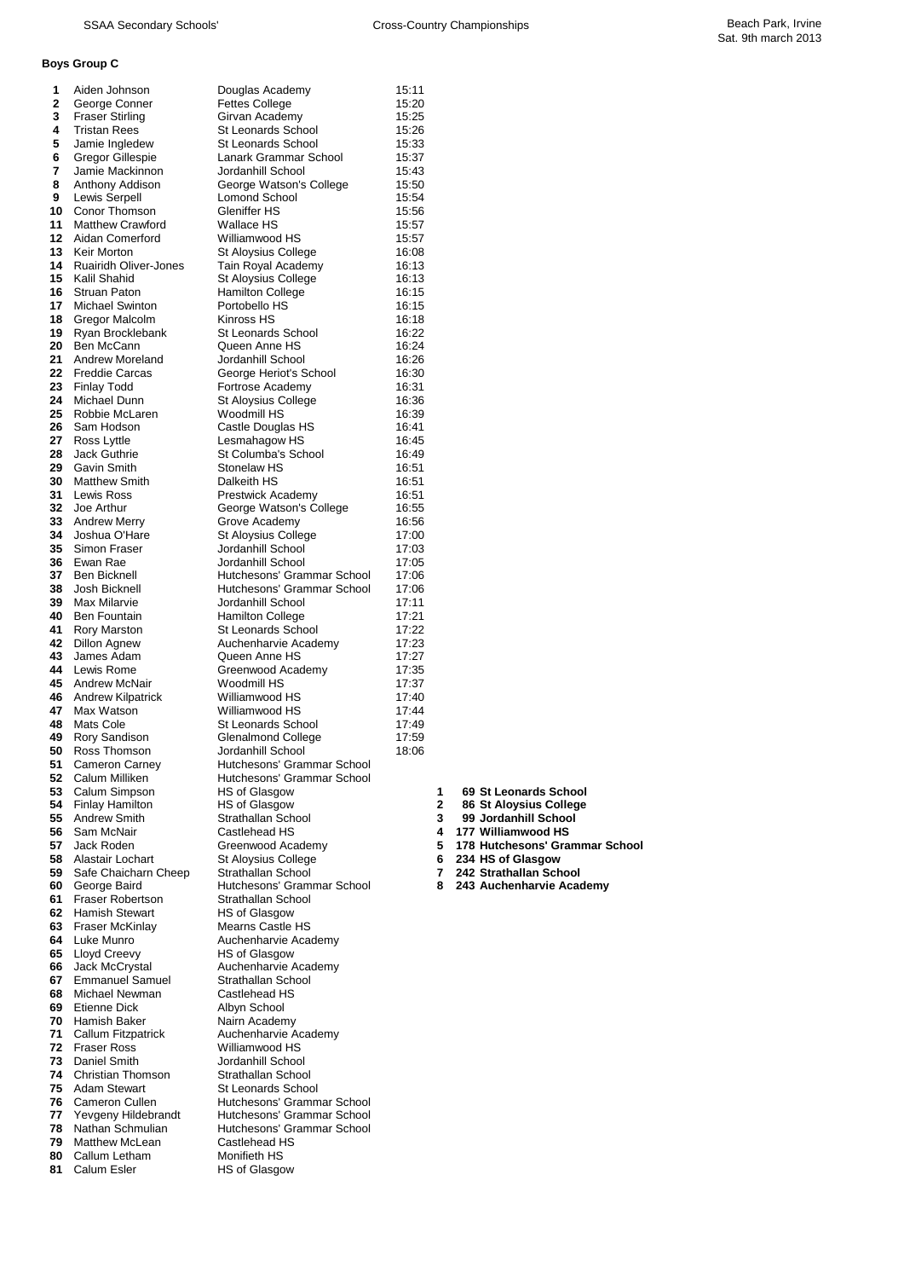### **Boys Group C**

| 1        | Aiden Johnson                                | Douglas Academy                                  | 15:11          |        |                                             |
|----------|----------------------------------------------|--------------------------------------------------|----------------|--------|---------------------------------------------|
| 2        | George Conner                                | <b>Fettes College</b>                            | 15:20          |        |                                             |
| 3        | <b>Fraser Stirling</b>                       | Girvan Academy                                   | 15:25          |        |                                             |
| 4<br>5   | <b>Tristan Rees</b>                          | <b>St Leonards School</b><br>St Leonards School  | 15:26          |        |                                             |
| 6        | Jamie Ingledew<br>Gregor Gillespie           | Lanark Grammar School                            | 15:33<br>15:37 |        |                                             |
| 7        | Jamie Mackinnon                              | Jordanhill School                                | 15:43          |        |                                             |
| 8        | Anthony Addison                              | George Watson's College                          | 15:50          |        |                                             |
| 9        | Lewis Serpell                                | Lomond School                                    | 15:54          |        |                                             |
| 10       | Conor Thomson                                | Gleniffer HS                                     | 15:56          |        |                                             |
| 11       | <b>Matthew Crawford</b>                      | Wallace HS                                       | 15:57          |        |                                             |
| 12       | Aidan Comerford                              | Williamwood HS                                   | 15:57          |        |                                             |
| 13       | Keir Morton                                  | St Aloysius College                              | 16:08          |        |                                             |
| 14<br>15 | <b>Ruairidh Oliver-Jones</b><br>Kalil Shahid | Tain Royal Academy                               | 16:13          |        |                                             |
| 16       | <b>Struan Paton</b>                          | St Aloysius College<br><b>Hamilton College</b>   | 16:13<br>16:15 |        |                                             |
| 17       | <b>Michael Swinton</b>                       | Portobello HS                                    | 16:15          |        |                                             |
| 18       | Gregor Malcolm                               | Kinross HS                                       | 16:18          |        |                                             |
| 19       | Ryan Brocklebank                             | <b>St Leonards School</b>                        | 16:22          |        |                                             |
| 20       | Ben McCann                                   | Queen Anne HS                                    | 16:24          |        |                                             |
| 21       | Andrew Moreland                              | Jordanhill School                                | 16:26          |        |                                             |
| 22       | <b>Freddie Carcas</b>                        | George Heriot's School                           | 16:30          |        |                                             |
| 23       | <b>Finlay Todd</b>                           | Fortrose Academy                                 | 16:31          |        |                                             |
| 24       | Michael Dunn                                 | St Aloysius College                              | 16:36          |        |                                             |
| 25<br>26 | Robbie McLaren<br>Sam Hodson                 | Woodmill HS                                      | 16:39<br>16:41 |        |                                             |
| 27       | Ross Lyttle                                  | Castle Douglas HS<br>Lesmahagow HS               | 16:45          |        |                                             |
| 28       | Jack Guthrie                                 | St Columba's School                              | 16:49          |        |                                             |
| 29       | Gavin Smith                                  | Stonelaw HS                                      | 16:51          |        |                                             |
| 30       | Matthew Smith                                | Dalkeith HS                                      | 16:51          |        |                                             |
| 31       | Lewis Ross                                   | Prestwick Academy                                | 16:51          |        |                                             |
|          | 32 Joe Arthur                                | George Watson's College                          | 16:55          |        |                                             |
| 33       | <b>Andrew Merry</b>                          | Grove Academy                                    | 16:56          |        |                                             |
| 34<br>35 | Joshua O'Hare<br>Simon Fraser                | St Aloysius College<br>Jordanhill School         | 17:00<br>17:03 |        |                                             |
| 36       | Ewan Rae                                     | Jordanhill School                                | 17:05          |        |                                             |
| 37       | <b>Ben Bicknell</b>                          | Hutchesons' Grammar School                       | 17:06          |        |                                             |
| 38       | Josh Bicknell                                | Hutchesons' Grammar School                       | 17:06          |        |                                             |
| 39       | Max Milarvie                                 | Jordanhill School                                | 17:11          |        |                                             |
| 40       | Ben Fountain                                 | <b>Hamilton College</b>                          | 17:21          |        |                                             |
| 41       | <b>Rory Marston</b>                          | St Leonards School                               | 17:22          |        |                                             |
| 43       | 42 Dillon Agnew<br>James Adam                | Auchenharvie Academy<br>Queen Anne HS            | 17:23<br>17:27 |        |                                             |
| 44       | Lewis Rome                                   | Greenwood Academy                                | 17:35          |        |                                             |
| 45       | <b>Andrew McNair</b>                         | Woodmill HS                                      | 17:37          |        |                                             |
| 46       | <b>Andrew Kilpatrick</b>                     | Williamwood HS                                   | 17:40          |        |                                             |
| 47       | Max Watson                                   | Williamwood HS                                   | 17:44          |        |                                             |
| 48       | Mats Cole                                    | St Leonards School                               | 17:49          |        |                                             |
| 49       | Rory Sandison                                | Glenalmond College                               | 17:59          |        |                                             |
| 50<br>51 | Ross Thomson<br>Cameron Carney               | Jordanhill School<br>Hutchesons' Grammar School  | 18:06          |        |                                             |
| 52       | Calum Milliken                               | Hutchesons' Grammar School                       |                |        |                                             |
|          | 53 Calum Simpson                             | <b>HS of Glasgow</b>                             |                | 1      | 69 St Leonards School                       |
| 54       | <b>Finlay Hamilton</b>                       | <b>HS of Glasgow</b>                             |                | 2      | 86 St Aloysius College                      |
|          | 55 Andrew Smith                              | Strathallan School                               |                | 3      | 99 Jordanhill School                        |
| 56       | Sam McNair                                   | Castlehead HS                                    |                | 4      | 177 Williamwood HS                          |
| 57       | Jack Roden                                   | Greenwood Academy                                |                | 5.     | 178 Hutchesons' Grammar School              |
| 58<br>59 | Alastair Lochart<br>Safe Chaicharn Cheep     | <b>St Aloysius College</b><br>Strathallan School |                | 6<br>7 | 234 HS of Glasgow<br>242 Strathallan School |
| 60       | George Baird                                 | Hutchesons' Grammar School                       |                | 8.     | 243 Auchenharvie Academy                    |
| 61       | <b>Fraser Robertson</b>                      | Strathallan School                               |                |        |                                             |
| 62       | Hamish Stewart                               | HS of Glasgow                                    |                |        |                                             |
| 63       | Fraser McKinlay                              | Mearns Castle HS                                 |                |        |                                             |
| 64       | Luke Munro                                   | Auchenharvie Academy                             |                |        |                                             |
| 65       | Lloyd Creevy                                 | <b>HS of Glasgow</b>                             |                |        |                                             |
| 66<br>67 | Jack McCrystal<br><b>Emmanuel Samuel</b>     | Auchenharvie Academy<br>Strathallan School       |                |        |                                             |
| 68       | Michael Newman                               | Castlehead HS                                    |                |        |                                             |
| 69       | Etienne Dick                                 | Albyn School                                     |                |        |                                             |
| 70       | Hamish Baker                                 | Nairn Academy                                    |                |        |                                             |
| 71       | Callum Fitzpatrick                           | Auchenharvie Academy                             |                |        |                                             |
| 72       | <b>Fraser Ross</b>                           | Williamwood HS                                   |                |        |                                             |
| 73       | Daniel Smith                                 | Jordanhill School                                |                |        |                                             |
| 74<br>75 | Christian Thomson<br><b>Adam Stewart</b>     | Strathallan School<br>St Leonards School         |                |        |                                             |
| 76       | <b>Cameron Cullen</b>                        | Hutchesons' Grammar School                       |                |        |                                             |
| 77       | Yevgeny Hildebrandt                          | Hutchesons' Grammar School                       |                |        |                                             |
| 78       | Nathan Schmulian                             | Hutchesons' Grammar School                       |                |        |                                             |
| 79       | Matthew McLean                               | Castlehead HS                                    |                |        |                                             |
| 80       | Callum Letham<br>Calum Esler                 | Monifieth HS                                     |                |        |                                             |
| 81       |                                              | HS of Glasgow                                    |                |        |                                             |

|  | 69 St Leonards School |  |
|--|-----------------------|--|
|--|-----------------------|--|

- 
- 
- 
- 
- 
- 
-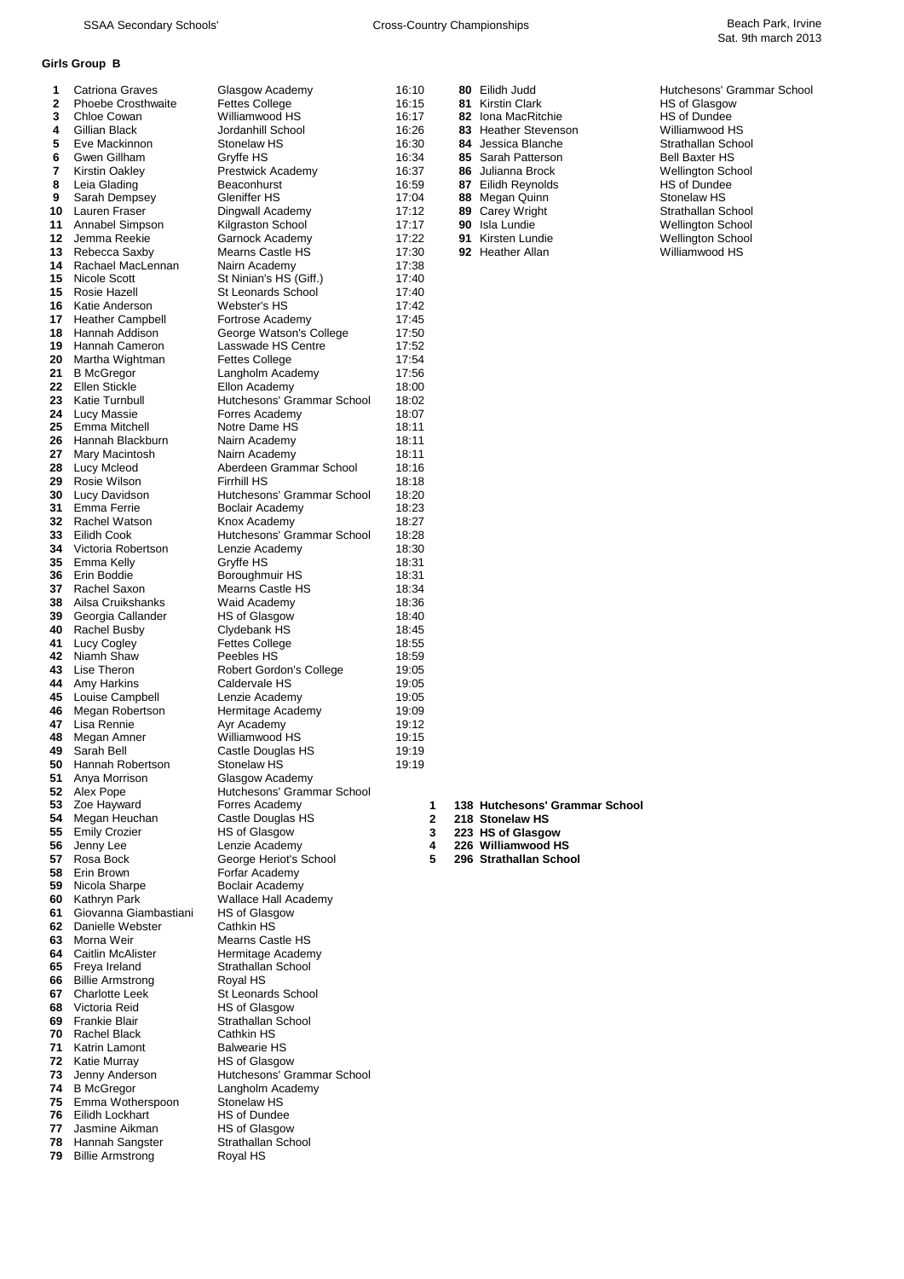### **Girls Group B**

| 1        | Catriona Graves                              | Glasgow Academy                               | 16:10  |    | 80 Eilidh Judd                          | Hutchesons' Grammar Schoo |
|----------|----------------------------------------------|-----------------------------------------------|--------|----|-----------------------------------------|---------------------------|
| 2        | <b>Phoebe Crosthwaite</b>                    | <b>Fettes College</b>                         | 16:15  | 81 | Kirstin Clark                           | HS of Glasgow             |
| 3        | Chloe Cowan                                  | Williamwood HS                                | 16:17  |    | 82 Iona MacRitchie                      | <b>HS of Dundee</b>       |
| 4        | Gillian Black                                | Jordanhill School                             | 16:26  | 83 | <b>Heather Stevenson</b>                | Williamwood HS            |
| 5        | Eve Mackinnon                                | Stonelaw HS                                   | 16:30  |    | 84 Jessica Blanche                      | Strathallan School        |
| 6        | Gwen Gillham                                 | Gryffe HS                                     | 16:34  |    | 85 Sarah Patterson                      | <b>Bell Baxter HS</b>     |
| 7        | Kirstin Oakley                               | Prestwick Academy                             | 16:37  | 86 | Julianna Brock                          | <b>Wellington School</b>  |
| 8        | Leia Glading                                 | Beaconhurst                                   | 16:59  |    | 87 Eilidh Reynolds                      | HS of Dundee              |
| 9        | Sarah Dempsey                                | Gleniffer HS                                  | 17:04  | 88 | Megan Quinn                             | Stonelaw HS               |
| 10       | Lauren Fraser                                | Dingwall Academy                              | 17:12  | 89 | Carey Wright                            | Strathallan School        |
| 11       | Annabel Simpson                              | Kilgraston School                             | 17:17  | 90 | Isla Lundie                             | <b>Wellington School</b>  |
| 12       | Jemma Reekie                                 | Garnock Academy                               | 17:22  | 91 | Kirsten Lundie                          | <b>Wellington School</b>  |
| 13       | Rebecca Saxby                                | Mearns Castle HS                              | 17:30  |    | 92 Heather Allan                        | Williamwood HS            |
| 14       | Rachael MacLennan                            | Nairn Academy                                 | 17:38  |    |                                         |                           |
| 15       | Nicole Scott                                 | St Ninian's HS (Giff.)                        | 17:40  |    |                                         |                           |
| 15       | Rosie Hazell                                 | St Leonards School                            | 17:40  |    |                                         |                           |
| 16       | Katie Anderson                               | Webster's HS                                  | 17:42  |    |                                         |                           |
| 17       | <b>Heather Campbell</b>                      | Fortrose Academy                              | 17:45  |    |                                         |                           |
| 18       | Hannah Addison                               | George Watson's College                       | 17:50  |    |                                         |                           |
| 19       | Hannah Cameron                               | Lasswade HS Centre                            | 17:52  |    |                                         |                           |
| 20       | Martha Wightman                              | <b>Fettes College</b>                         | 17:54  |    |                                         |                           |
| 21       | <b>B</b> McGregor                            | Langholm Academy                              | 17:56  |    |                                         |                           |
| 22       | <b>Ellen Stickle</b>                         | Ellon Academy                                 | 18:00  |    |                                         |                           |
| 23       | Katie Turnbull                               | Hutchesons' Grammar School                    | 18:02  |    |                                         |                           |
| 24       | Lucy Massie                                  | Forres Academy                                | 18:07  |    |                                         |                           |
| 25       | Emma Mitchell                                | Notre Dame HS                                 | 18:11  |    |                                         |                           |
| 26       | Hannah Blackburn                             | Nairn Academy                                 | 18:11  |    |                                         |                           |
| 27       | Mary Macintosh                               | Nairn Academy                                 | 18:11  |    |                                         |                           |
| 28       | Lucy Mcleod                                  | Aberdeen Grammar School                       | 18:16  |    |                                         |                           |
| 29       | Rosie Wilson                                 | <b>Firrhill HS</b>                            | 18:18  |    |                                         |                           |
| 30       | Lucy Davidson                                | Hutchesons' Grammar School                    | 18:20  |    |                                         |                           |
| 31       | Emma Ferrie                                  | Boclair Academy                               | 18:23  |    |                                         |                           |
| 32       | Rachel Watson                                | Knox Academy                                  | 18:27  |    |                                         |                           |
| 33       | Eilidh Cook                                  | Hutchesons' Grammar School                    | 18:28  |    |                                         |                           |
| 34       | Victoria Robertson                           | Lenzie Academy                                | 18:30  |    |                                         |                           |
| 35       | Emma Kelly                                   | Gryffe HS                                     | 18:31  |    |                                         |                           |
| 36       | Erin Boddie                                  | Boroughmuir HS                                | 18:31  |    |                                         |                           |
| 37       | Rachel Saxon                                 | Mearns Castle HS                              | 18:34  |    |                                         |                           |
| 38       | Ailsa Cruikshanks                            | Waid Academy                                  | 18:36  |    |                                         |                           |
| 39       | Georgia Callander                            | HS of Glasgow                                 | 18:40  |    |                                         |                           |
| 40       | Rachel Busby                                 | Clydebank HS                                  | 18:45  |    |                                         |                           |
| 41       | Lucy Cogley                                  | <b>Fettes College</b>                         | 18:55  |    |                                         |                           |
| 42       | Niamh Shaw                                   | Peebles HS                                    | 18:59  |    |                                         |                           |
| 43       | Lise Theron                                  | Robert Gordon's College                       | 19:05  |    |                                         |                           |
| 44       | Amy Harkins                                  | Caldervale HS                                 | 19:05  |    |                                         |                           |
| 45       | Louise Campbell                              | Lenzie Academy                                | 19:05  |    |                                         |                           |
| 46       | Megan Robertson                              | Hermitage Academy                             | 19:09  |    |                                         |                           |
| 47       | Lisa Rennie                                  | Ayr Academy                                   | 19:12  |    |                                         |                           |
| 48       | Megan Amner                                  | Williamwood HS                                | 19:15  |    |                                         |                           |
| 49       | Sarah Bell                                   | Castle Douglas HS                             | 19:19  |    |                                         |                           |
| 50       | Hannah Robertson                             | Stonelaw HS                                   |        |    |                                         |                           |
|          |                                              |                                               | 19:19  |    |                                         |                           |
| 51       | Anya Morrison<br>52 Alex Pope                | Glasgow Academy<br>Hutchesons' Grammar School |        |    |                                         |                           |
|          | Zoe Hayward                                  | Forres Academy                                |        |    |                                         |                           |
| 53       |                                              |                                               | 1      |    | 138 Hutchesons' Grammar School          |                           |
| 54       | Megan Heuchan                                | Castle Douglas HS                             | 2      |    | 218 Stonelaw HS                         |                           |
| 55<br>56 | Emily Crozier<br>Jenny Lee                   | HS of Glasgow<br>Lenzie Academy               | 3<br>4 |    | 223 HS of Glasgow<br>226 Williamwood HS |                           |
|          | Rosa Bock                                    |                                               | 5      |    | 296 Strathallan School                  |                           |
| 57<br>58 | Erin Brown                                   | George Heriot's School<br>Forfar Academy      |        |    |                                         |                           |
| 59       | Nicola Sharpe                                | Boclair Academy                               |        |    |                                         |                           |
|          | 60 Kathryn Park                              | Wallace Hall Academy                          |        |    |                                         |                           |
| 61       | Giovanna Giambastiani                        | HS of Glasgow                                 |        |    |                                         |                           |
| 62       | Danielle Webster                             | Cathkin HS                                    |        |    |                                         |                           |
| 63       | Morna Weir                                   | <b>Mearns Castle HS</b>                       |        |    |                                         |                           |
|          | <b>64</b> Caitlin McAlister                  |                                               |        |    |                                         |                           |
|          |                                              | Hermitage Academy                             |        |    |                                         |                           |
| 65       | Freya Ireland                                | Strathallan School                            |        |    |                                         |                           |
| 66       | <b>Billie Armstrong</b><br>67 Charlotte Leek | Royal HS                                      |        |    |                                         |                           |
|          |                                              | St Leonards School                            |        |    |                                         |                           |
| 68       | Victoria Reid                                | HS of Glasgow                                 |        |    |                                         |                           |
| 69       | Frankie Blair                                | Strathallan School                            |        |    |                                         |                           |
| 70       | Rachel Black                                 | Cathkin HS                                    |        |    |                                         |                           |
| 71       | Katrin Lamont                                | <b>Balwearie HS</b>                           |        |    |                                         |                           |
| 72       | Katie Murray                                 | HS of Glasgow                                 |        |    |                                         |                           |
| 73       | Jenny Anderson                               | Hutchesons' Grammar School                    |        |    |                                         |                           |
|          | 74 B McGregor                                | Langholm Academy                              |        |    |                                         |                           |
| 75       | Emma Wotherspoon                             | Stonelaw HS                                   |        |    |                                         |                           |
| 76       | Eilidh Lockhart                              | HS of Dundee                                  |        |    |                                         |                           |
| 77       | Jasmine Aikman                               | <b>HS of Glasgow</b>                          |        |    |                                         |                           |
| 78       | Hannah Sangster                              | Strathallan School                            |        |    |                                         |                           |
| 79       | <b>Billie Armstrong</b>                      | Royal HS                                      |        |    |                                         |                           |
|          |                                              |                                               |        |    |                                         |                           |

| 80 | hhul. Hilidh             |
|----|--------------------------|
| 81 | Kirstin Clark            |
| 82 | Iona MacRitchie          |
| 83 | <b>Heather Stevensor</b> |
| 84 | Jessica Blanche          |
| 85 | Sarah Patterson          |
| 86 | Julianna Brock           |
| 87 | Eilidh Reynolds          |
| 88 | Megan Quinn              |
| 89 | Carey Wright             |
| 90 | Isla Lundie              |
| 91 | Kirsten Lundie           |
| 92 | <b>Heather Allan</b>     |
|    |                          |

| Hutchesons' Grammar Schoo |
|---------------------------|
| <b>HS of Glasgow</b>      |
| HS of Dundee              |
| Williamwood HS            |
| Strathallan School        |
| Bell Baxter HS            |
| <b>Nellington School</b>  |
| HS of Dundee              |
| Stonelaw HS               |
| Strathallan School        |
| <b>Nellington School</b>  |
| <b>Nellington School</b>  |
|                           |

- Zoe Hayward Forres Academy **1 138 Hutchesons' Grammar School**
	- Megan Heuchan Castle Douglas HS **2 218 Stonelaw HS**
- 
- 
- Rosa Bock George Heriot's School **5 296 Strathallan School**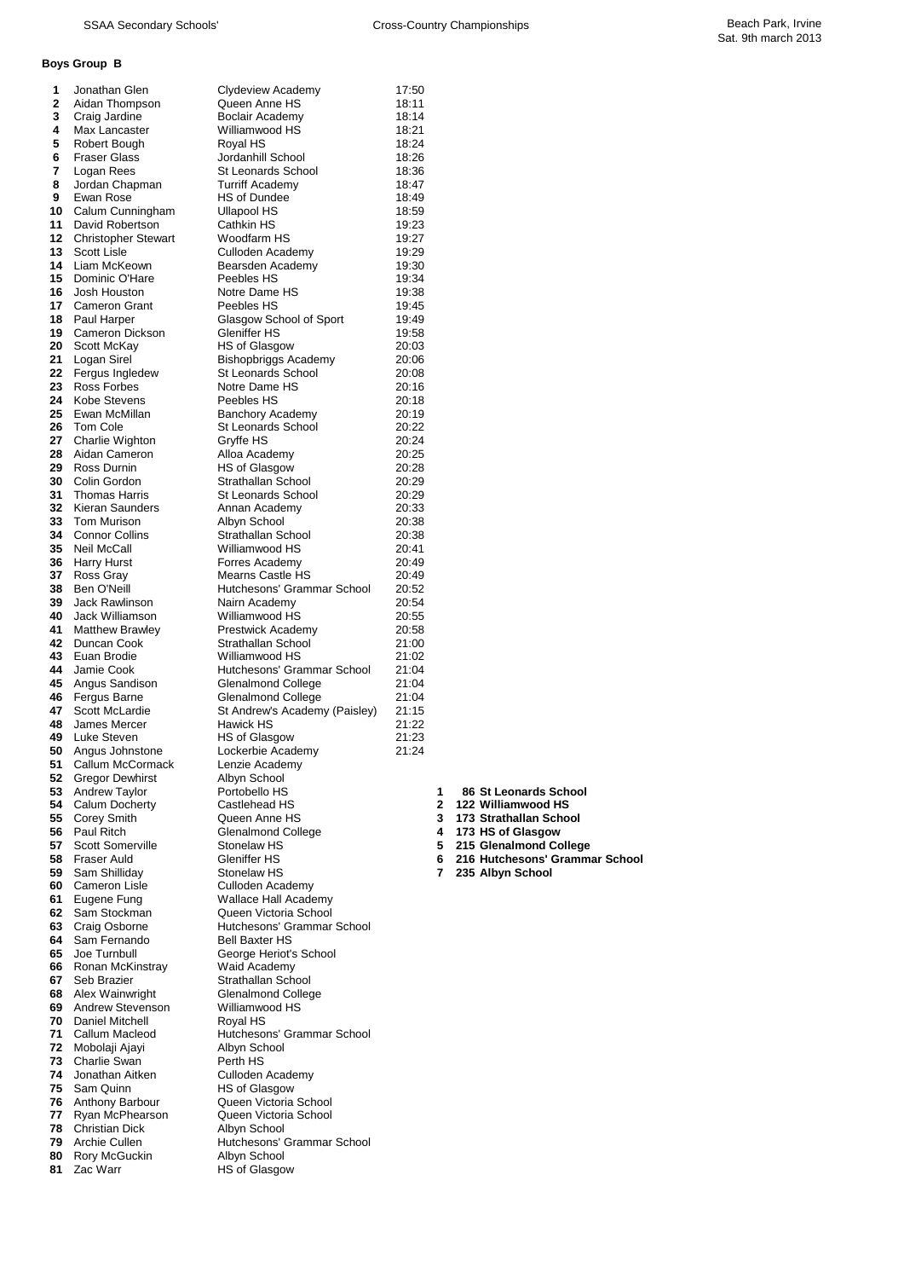# **Boys Group B**

| 1        | Jonathan Glen                                 | Clydeview Academy                          | 17:50          |              |                                                          |
|----------|-----------------------------------------------|--------------------------------------------|----------------|--------------|----------------------------------------------------------|
| 2        | Aidan Thompson                                | Queen Anne HS                              | 18:11          |              |                                                          |
| 3        | Craig Jardine                                 | Boclair Academy                            | 18:14          |              |                                                          |
| 4        | Max Lancaster                                 | Williamwood HS                             | 18:21          |              |                                                          |
| 5        | Robert Bough                                  | Royal HS                                   | 18:24          |              |                                                          |
| 6        | <b>Fraser Glass</b>                           | Jordanhill School                          | 18:26          |              |                                                          |
| 7        | Logan Rees                                    | St Leonards School                         | 18:36          |              |                                                          |
| 8        | Jordan Chapman                                | Turriff Academy                            | 18:47          |              |                                                          |
| 9        | Ewan Rose                                     | HS of Dundee                               | 18:49          |              |                                                          |
| 10       | Calum Cunningham                              | <b>Ullapool HS</b>                         | 18:59          |              |                                                          |
| 11       | David Robertson                               | Cathkin HS                                 | 19:23          |              |                                                          |
| 12       | <b>Christopher Stewart</b>                    | Woodfarm HS                                | 19:27          |              |                                                          |
| 13<br>14 | <b>Scott Lisle</b>                            | Culloden Academy                           | 19:29          |              |                                                          |
|          | Liam McKeown                                  | Bearsden Academy                           | 19:30          |              |                                                          |
| 15       | Dominic O'Hare<br>Josh Houston                | Peebles HS                                 | 19:34          |              |                                                          |
| 16       |                                               | Notre Dame HS                              | 19:38          |              |                                                          |
| 17       | <b>Cameron Grant</b>                          | Peebles HS                                 | 19:45          |              |                                                          |
| 18       | Paul Harper                                   | Glasgow School of Sport                    | 19:49          |              |                                                          |
| 19<br>20 | Cameron Dickson<br>Scott McKay                | Gleniffer HS<br>HS of Glasgow              | 19:58          |              |                                                          |
| 21       |                                               |                                            | 20:03          |              |                                                          |
| 22       | Logan Sirel                                   | Bishopbriggs Academy<br>St Leonards School | 20:06          |              |                                                          |
| 23       | Fergus Ingledew<br>Ross Forbes                | Notre Dame HS                              | 20:08<br>20:16 |              |                                                          |
| 24       | Kobe Stevens                                  | Peebles HS                                 | 20:18          |              |                                                          |
| 25       | Ewan McMillan                                 | <b>Banchory Academy</b>                    | 20:19          |              |                                                          |
| 26       | Tom Cole                                      | St Leonards School                         | 20:22          |              |                                                          |
| 27       | Charlie Wighton                               | Gryffe HS                                  | 20:24          |              |                                                          |
| 28       | Aidan Cameron                                 | Alloa Academy                              | 20:25          |              |                                                          |
| 29       | Ross Durnin                                   | HS of Glasgow                              | 20:28          |              |                                                          |
| 30       | Colin Gordon                                  | Strathallan School                         | 20:29          |              |                                                          |
| 31       | <b>Thomas Harris</b>                          | St Leonards School                         | 20:29          |              |                                                          |
| 32       | <b>Kieran Saunders</b>                        | Annan Academy                              | 20:33          |              |                                                          |
| 33       | <b>Tom Murison</b>                            | Albyn School                               | 20:38          |              |                                                          |
| 34       | <b>Connor Collins</b>                         | Strathallan School                         | 20:38          |              |                                                          |
| 35       | <b>Neil McCall</b>                            | Williamwood HS                             | 20:41          |              |                                                          |
| 36       | <b>Harry Hurst</b>                            | Forres Academy                             | 20:49          |              |                                                          |
| 37       | Ross Gray                                     | <b>Mearns Castle HS</b>                    | 20:49          |              |                                                          |
| 38       | Ben O'Neill                                   | Hutchesons' Grammar School                 | 20:52          |              |                                                          |
| 39       | Jack Rawlinson                                | Nairn Academy                              | 20:54          |              |                                                          |
| 40       | Jack Williamson                               | Williamwood HS                             | 20:55          |              |                                                          |
| 41       | <b>Matthew Brawley</b>                        | Prestwick Academy                          | 20:58          |              |                                                          |
| 42       | Duncan Cook                                   | Strathallan School                         | 21:00          |              |                                                          |
| 43       | Euan Brodie                                   | Williamwood HS                             | 21:02          |              |                                                          |
| 44       | Jamie Cook                                    | Hutchesons' Grammar School                 | 21:04          |              |                                                          |
| 45       | Angus Sandison                                | Glenalmond College                         | 21:04          |              |                                                          |
| 46       | Fergus Barne                                  | Glenalmond College                         | 21:04          |              |                                                          |
| 47       | <b>Scott McLardie</b>                         | St Andrew's Academy (Paisley)              | 21:15          |              |                                                          |
| 48       | James Mercer                                  | Hawick HS                                  | 21:22          |              |                                                          |
| 49       | Luke Steven                                   | HS of Glasgow                              | 21:23          |              |                                                          |
| 50       | Angus Johnstone                               | Lockerbie Academy                          | 21:24          |              |                                                          |
| 51       | Callum McCormack                              | Lenzie Academy                             |                |              |                                                          |
| 52       | <b>Gregor Dewhirst</b>                        | Albyn School                               |                |              |                                                          |
| 53 -     | <b>Andrew Taylor</b>                          | Portobello HS                              |                | 1            | 86 St Leonards School                                    |
|          | 54 Calum Docherty                             | Castlehead HS                              |                | $\mathbf{2}$ | 122 Williamwood HS                                       |
| 55       | <b>Corey Smith</b>                            | Queen Anne HS                              |                | 3            | 173 Strathallan School                                   |
| 56       | Paul Ritch                                    | Glenalmond College                         |                | 4            | 173 HS of Glasgow                                        |
| 57       | <b>Scott Somerville</b><br><b>Fraser Auld</b> | Stonelaw HS<br>Gleniffer HS                |                | 5<br>6.      | 215 Glenalmond College<br>216 Hutchesons' Grammar School |
| 58<br>59 | Sam Shilliday                                 | Stonelaw HS                                |                | 7            | 235 Albyn School                                         |
| 60 -     | Cameron Lisle                                 | Culloden Academy                           |                |              |                                                          |
| 61       | Eugene Fung                                   | Wallace Hall Academy                       |                |              |                                                          |
|          | 62 Sam Stockman                               | Queen Victoria School                      |                |              |                                                          |
| 63       | Craig Osborne                                 | Hutchesons' Grammar School                 |                |              |                                                          |
| 64       | Sam Fernando                                  | <b>Bell Baxter HS</b>                      |                |              |                                                          |
| 65       | Joe Turnbull                                  | George Heriot's School                     |                |              |                                                          |
| 66       | Ronan McKinstray                              | Waid Academy                               |                |              |                                                          |
| 67       | Seb Brazier                                   | Strathallan School                         |                |              |                                                          |
| 68       | Alex Wainwright                               | <b>Glenalmond College</b>                  |                |              |                                                          |
| 69       | <b>Andrew Stevenson</b>                       | Williamwood HS                             |                |              |                                                          |
| 70       | Daniel Mitchell                               | Royal HS                                   |                |              |                                                          |
| 71       | Callum Macleod                                | Hutchesons' Grammar School                 |                |              |                                                          |
|          | <b>72</b> Mobolaji Ajayi                      | Albyn School                               |                |              |                                                          |
| 73       | Charlie Swan                                  | Perth HS                                   |                |              |                                                          |
| 74       | Jonathan Aitken                               | Culloden Academy                           |                |              |                                                          |
| 75       | Sam Quinn                                     | HS of Glasgow                              |                |              |                                                          |
|          | 76 Anthony Barbour                            | Queen Victoria School                      |                |              |                                                          |
| 77       | Ryan McPhearson                               | Queen Victoria School                      |                |              |                                                          |
| 78       | <b>Christian Dick</b>                         | Albyn School                               |                |              |                                                          |
| 79       | Archie Cullen                                 | Hutchesons' Grammar School                 |                |              |                                                          |
| 80       | Rory McGuckin                                 | Albyn School                               |                |              |                                                          |
| 81       | Zac Warr                                      | <b>HS of Glasgow</b>                       |                |              |                                                          |
|          |                                               |                                            |                |              |                                                          |

|  | 86 St Leonards School |  |
|--|-----------------------|--|
|--|-----------------------|--|

- 
- 
- 
- 
- 
-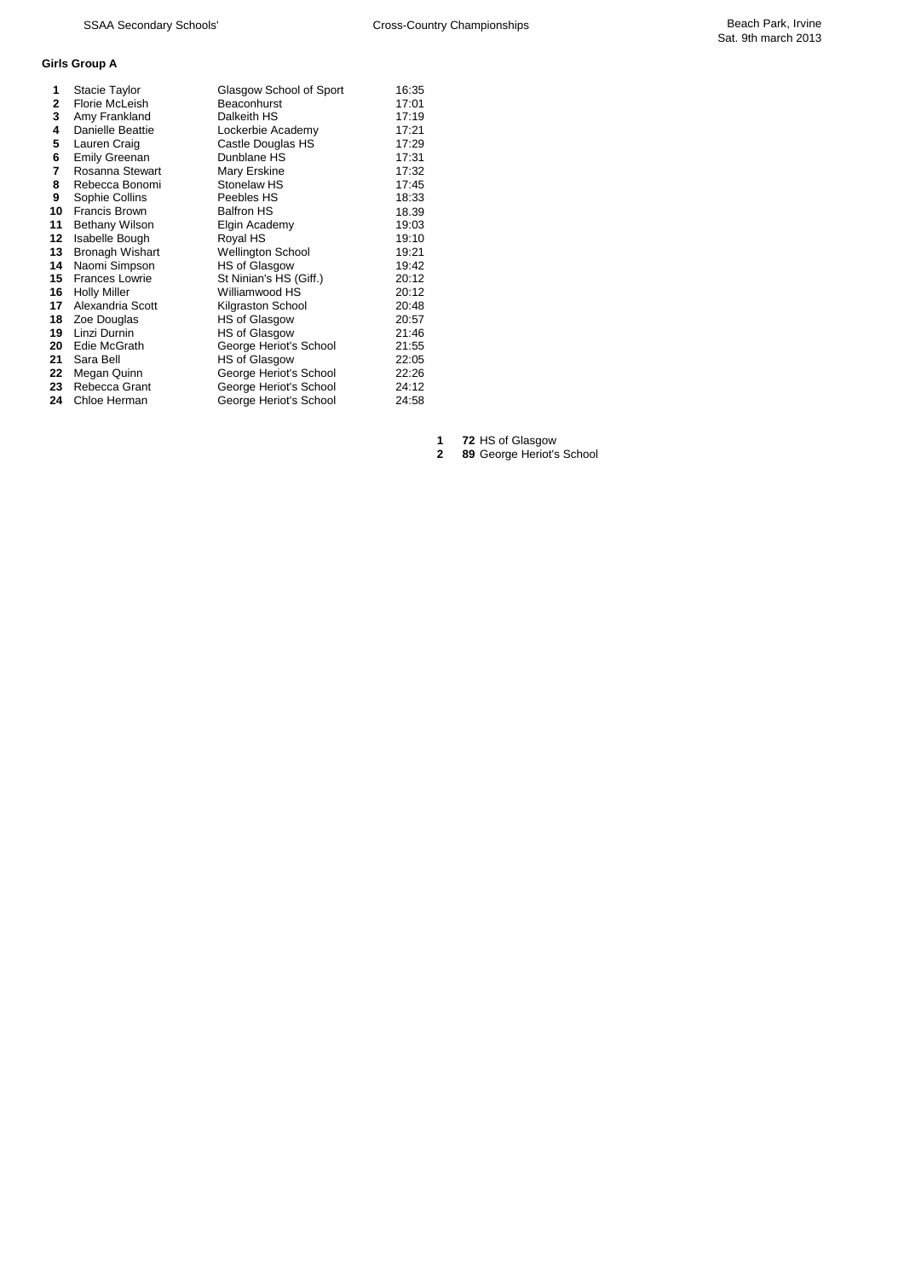## **Girls Group A**

| 1       | Stacie Taylor          | Glasgow School of Sport  | 16:35 |
|---------|------------------------|--------------------------|-------|
| 2       | Florie McLeish         | Beaconhurst              | 17:01 |
| 3       | Amy Frankland          | Dalkeith HS              | 17:19 |
| 4       | Danielle Beattie       | Lockerbie Academy        | 17:21 |
| 5       | Lauren Craig           | Castle Douglas HS        | 17:29 |
| 6       | <b>Emily Greenan</b>   | Dunblane HS              | 17:31 |
| 7       | Rosanna Stewart        | Mary Erskine             | 17:32 |
| 8       | Rebecca Bonomi         | Stonelaw HS              | 17:45 |
| 9       | Sophie Collins         | Peebles HS               | 18:33 |
| 10      | <b>Francis Brown</b>   | <b>Balfron HS</b>        | 18.39 |
| 11      | <b>Bethany Wilson</b>  | Elgin Academy            | 19:03 |
| $12 \,$ | Isabelle Bough         | Royal HS                 | 19:10 |
| 13      | <b>Bronagh Wishart</b> | <b>Wellington School</b> | 19:21 |
| 14      | Naomi Simpson          | <b>HS of Glasgow</b>     | 19:42 |
| 15      | <b>Frances Lowrie</b>  | St Ninian's HS (Giff.)   | 20:12 |
| 16      | <b>Holly Miller</b>    | Williamwood HS           | 20:12 |
| 17      | Alexandria Scott       | Kilgraston School        | 20:48 |
| 18      | Zoe Douglas            | <b>HS of Glasgow</b>     | 20:57 |
| 19      | Linzi Durnin           | <b>HS of Glasgow</b>     | 21:46 |
| 20      | Edie McGrath           | George Heriot's School   | 21:55 |
| 21      | Sara Bell              | <b>HS of Glasgow</b>     | 22:05 |
| 22      | Megan Quinn            | George Heriot's School   | 22:26 |
| 23      | Rebecca Grant          | George Heriot's School   | 24:12 |
| 24      | Chloe Herman           | George Heriot's School   | 24:58 |
|         |                        |                          |       |

 **72** HS of Glasgow **89** George Heriot's School